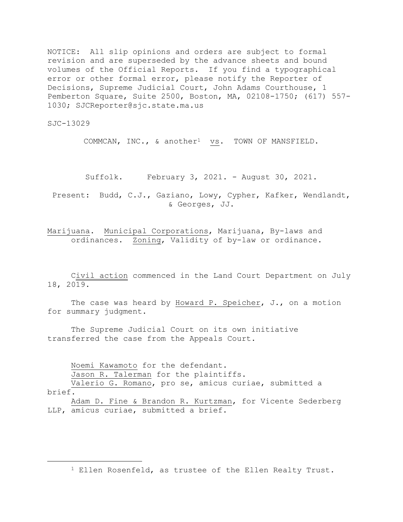NOTICE: All slip opinions and orders are subject to formal revision and are superseded by the advance sheets and bound volumes of the Official Reports. If you find a typographical error or other formal error, please notify the Reporter of Decisions, Supreme Judicial Court, John Adams Courthouse, 1 Pemberton Square, Suite 2500, Boston, MA, 02108-1750; (617) 557- 1030; SJCReporter@sjc.state.ma.us

SJC-13029

COMMCAN, INC., & another<sup>1</sup> vs. TOWN OF MANSFIELD.

Suffolk. February 3, 2021. - August 30, 2021.

Present: Budd, C.J., Gaziano, Lowy, Cypher, Kafker, Wendlandt, & Georges, JJ.

Marijuana. Municipal Corporations, Marijuana, By-laws and ordinances. Zoning, Validity of by-law or ordinance.

Civil action commenced in the Land Court Department on July 18, 2019.

The case was heard by Howard P. Speicher, J., on a motion for summary judgment.

The Supreme Judicial Court on its own initiative transferred the case from the Appeals Court.

Noemi Kawamoto for the defendant.

Jason R. Talerman for the plaintiffs.

Valerio G. Romano, pro se, amicus curiae, submitted a brief.

Adam D. Fine & Brandon R. Kurtzman, for Vicente Sederberg LLP, amicus curiae, submitted a brief.

<sup>1</sup> Ellen Rosenfeld, as trustee of the Ellen Realty Trust.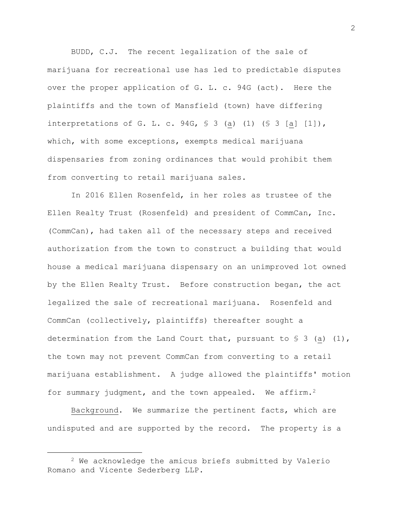BUDD, C.J. The recent legalization of the sale of marijuana for recreational use has led to predictable disputes over the proper application of G. L. c. 94G (act). Here the plaintiffs and the town of Mansfield (town) have differing interpretations of G. L. c. 94G,  $\frac{1}{2}$  (a) (1) ( $\frac{1}{2}$  [a] [1]), which, with some exceptions, exempts medical marijuana dispensaries from zoning ordinances that would prohibit them from converting to retail marijuana sales.

In 2016 Ellen Rosenfeld, in her roles as trustee of the Ellen Realty Trust (Rosenfeld) and president of CommCan, Inc. (CommCan), had taken all of the necessary steps and received authorization from the town to construct a building that would house a medical marijuana dispensary on an unimproved lot owned by the Ellen Realty Trust. Before construction began, the act legalized the sale of recreational marijuana. Rosenfeld and CommCan (collectively, plaintiffs) thereafter sought a determination from the Land Court that, pursuant to  $\S$  3 (a) (1), the town may not prevent CommCan from converting to a retail marijuana establishment. A judge allowed the plaintiffs' motion for summary judgment, and the town appealed. We affirm.<sup>2</sup>

Background. We summarize the pertinent facts, which are undisputed and are supported by the record. The property is a

<sup>2</sup> We acknowledge the amicus briefs submitted by Valerio Romano and Vicente Sederberg LLP.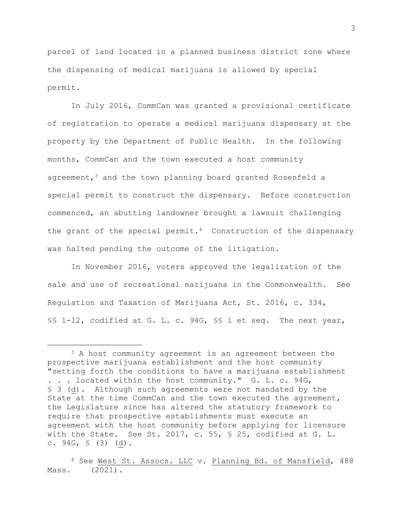parcel of land located in a planned business district zone where the dispensing of medical marijuana is allowed by special permit.

In July 2016, CommCan was granted a provisional certificate of registration to operate a medical marijuana dispensary at the property by the Department of Public Health. In the following months, CommCan and the town executed a host community agreement, $3$  and the town planning board granted Rosenfeld a special permit to construct the dispensary. Before construction commenced, an abutting landowner brought a lawsuit challenging the grant of the special permit.<sup>4</sup> Construction of the dispensary was halted pending the outcome of the litigation.

In November 2016, voters approved the legalization of the sale and use of recreational marijuana in the Commonwealth. See Regulation and Taxation of Marijuana Act, St. 2016, c. 334, §§ 1-12, codified at G. L. c. 94G, §§ 1 et seq. The next year,

<sup>&</sup>lt;sup>3</sup> A host community agreement is an agreement between the prospective marijuana establishment and the host community "setting forth the conditions to have a marijuana establishment . . . located within the host community." G. L. c. 94G, § 3 (d). Although such agreements were not mandated by the State at the time CommCan and the town executed the agreement, the Legislature since has altered the statutory framework to require that prospective establishments must execute an agreement with the host community before applying for licensure with the State. See St. 2017, c. 55, § 25, codified at G. L. c.  $94G, S$  (3) (d).

<sup>4</sup> See West St. Assocs. LLC v. Planning Bd. of Mansfield, 488 Mass. (2021).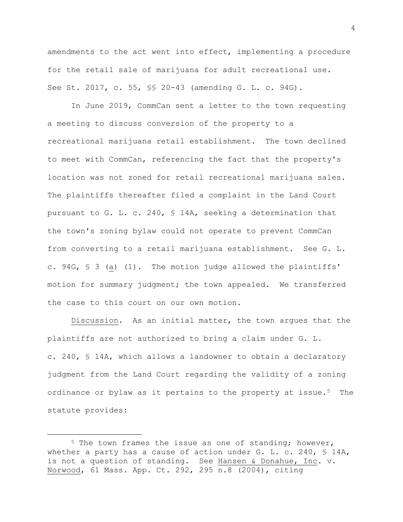amendments to the act went into effect, implementing a procedure for the retail sale of marijuana for adult recreational use. See St. 2017, c. 55, §§ 20-43 (amending G. L. c. 94G).

In June 2019, CommCan sent a letter to the town requesting a meeting to discuss conversion of the property to a recreational marijuana retail establishment. The town declined to meet with CommCan, referencing the fact that the property's location was not zoned for retail recreational marijuana sales. The plaintiffs thereafter filed a complaint in the Land Court pursuant to G. L. c. 240, § 14A, seeking a determination that the town's zoning bylaw could not operate to prevent CommCan from converting to a retail marijuana establishment. See G. L. c. 94G, § 3 (a) (1). The motion judge allowed the plaintiffs' motion for summary judgment; the town appealed. We transferred the case to this court on our own motion.

Discussion. As an initial matter, the town argues that the plaintiffs are not authorized to bring a claim under G. L. c. 240, § 14A, which allows a landowner to obtain a declaratory judgment from the Land Court regarding the validity of a zoning ordinance or bylaw as it pertains to the property at issue.<sup>5</sup> The statute provides:

<sup>&</sup>lt;sup>5</sup> The town frames the issue as one of standing; however, whether a party has a cause of action under G. L. c. 240,  $\frac{1}{2}$  14A, is not a question of standing. See Hansen & Donahue, Inc. v. Norwood, 61 Mass. App. Ct. 292, 295 n.8 (2004), citing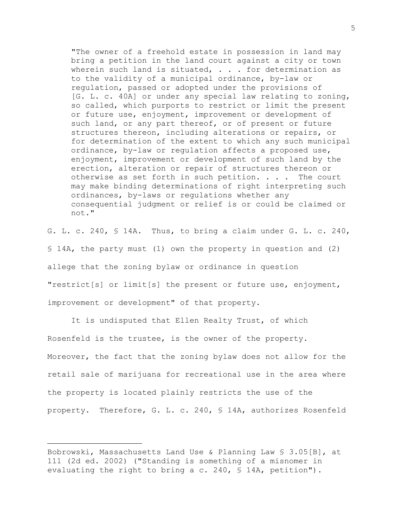"The owner of a freehold estate in possession in land may bring a petition in the land court against a city or town wherein such land is situated,  $\ldots$  for determination as to the validity of a municipal ordinance, by-law or regulation, passed or adopted under the provisions of [G. L. c. 40A] or under any special law relating to zoning, so called, which purports to restrict or limit the present or future use, enjoyment, improvement or development of such land, or any part thereof, or of present or future structures thereon, including alterations or repairs, or for determination of the extent to which any such municipal ordinance, by-law or regulation affects a proposed use, enjoyment, improvement or development of such land by the erection, alteration or repair of structures thereon or otherwise as set forth in such petition. . . . The court may make binding determinations of right interpreting such ordinances, by-laws or regulations whether any consequential judgment or relief is or could be claimed or not."

G. L. c. 240, § 14A. Thus, to bring a claim under G. L. c. 240, § 14A, the party must (1) own the property in question and (2) allege that the zoning bylaw or ordinance in question "restrict[s] or limit[s] the present or future use, enjoyment, improvement or development" of that property.

It is undisputed that Ellen Realty Trust, of which Rosenfeld is the trustee, is the owner of the property. Moreover, the fact that the zoning bylaw does not allow for the retail sale of marijuana for recreational use in the area where the property is located plainly restricts the use of the property. Therefore, G. L. c. 240, § 14A, authorizes Rosenfeld

Bobrowski, Massachusetts Land Use & Planning Law § 3.05[B], at 111 (2d ed. 2002) ("Standing is something of a misnomer in evaluating the right to bring a c. 240, § 14A, petition").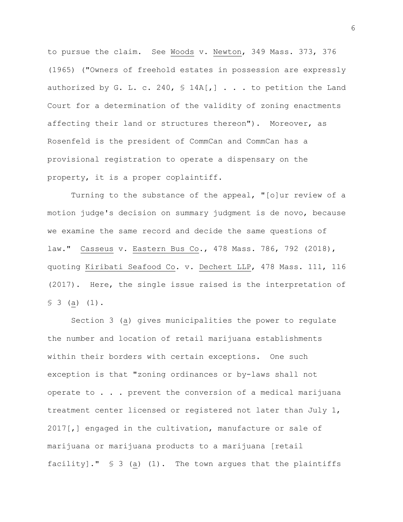to pursue the claim. See Woods v. Newton, 349 Mass. 373, 376 (1965) ("Owners of freehold estates in possession are expressly authorized by G. L. c. 240,  $\frac{1}{2}$  14A[,] . . . to petition the Land Court for a determination of the validity of zoning enactments affecting their land or structures thereon"). Moreover, as Rosenfeld is the president of CommCan and CommCan has a provisional registration to operate a dispensary on the property, it is a proper coplaintiff.

Turning to the substance of the appeal, "[o]ur review of a motion judge's decision on summary judgment is de novo, because we examine the same record and decide the same questions of law." Casseus v. Eastern Bus Co., 478 Mass. 786, 792 (2018), quoting Kiribati Seafood Co. v. Dechert LLP, 478 Mass. 111, 116 (2017). Here, the single issue raised is the interpretation of § 3 (a) (1).

Section 3 (a) gives municipalities the power to regulate the number and location of retail marijuana establishments within their borders with certain exceptions. One such exception is that "zoning ordinances or by-laws shall not operate to . . . prevent the conversion of a medical marijuana treatment center licensed or registered not later than July 1, 2017[,] engaged in the cultivation, manufacture or sale of marijuana or marijuana products to a marijuana [retail facility]." § 3 (a) (1). The town argues that the plaintiffs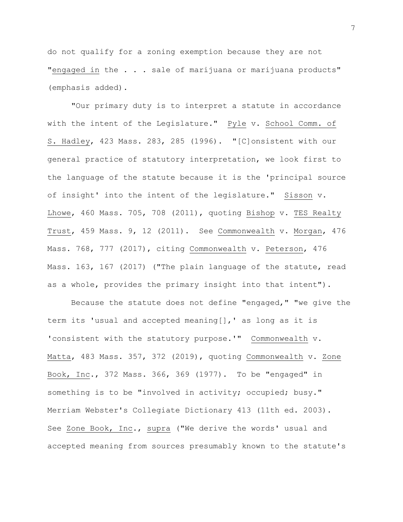do not qualify for a zoning exemption because they are not "engaged in the . . . sale of marijuana or marijuana products" (emphasis added).

"Our primary duty is to interpret a statute in accordance with the intent of the Legislature." Pyle v. School Comm. of S. Hadley, 423 Mass. 283, 285 (1996). "[C]onsistent with our general practice of statutory interpretation, we look first to the language of the statute because it is the 'principal source of insight' into the intent of the legislature." Sisson v. Lhowe, 460 Mass. 705, 708 (2011), quoting Bishop v. TES Realty Trust, 459 Mass. 9, 12 (2011). See Commonwealth v. Morgan, 476 Mass. 768, 777 (2017), citing Commonwealth v. Peterson, 476 Mass. 163, 167 (2017) ("The plain language of the statute, read as a whole, provides the primary insight into that intent").

Because the statute does not define "engaged," "we give the term its 'usual and accepted meaning[],' as long as it is 'consistent with the statutory purpose.'" Commonwealth v. Matta, 483 Mass. 357, 372 (2019), quoting Commonwealth v. Zone Book, Inc., 372 Mass. 366, 369 (1977). To be "engaged" in something is to be "involved in activity; occupied; busy." Merriam Webster's Collegiate Dictionary 413 (11th ed. 2003). See Zone Book, Inc., supra ("We derive the words' usual and accepted meaning from sources presumably known to the statute's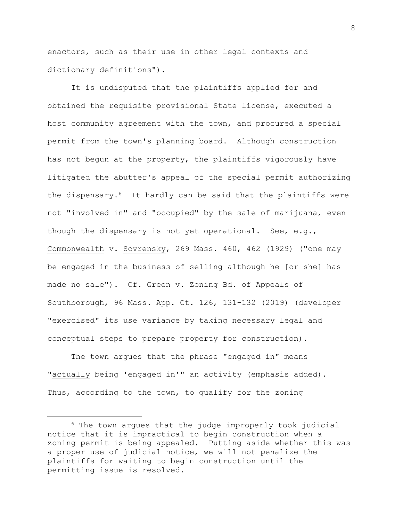enactors, such as their use in other legal contexts and dictionary definitions").

It is undisputed that the plaintiffs applied for and obtained the requisite provisional State license, executed a host community agreement with the town, and procured a special permit from the town's planning board. Although construction has not begun at the property, the plaintiffs vigorously have litigated the abutter's appeal of the special permit authorizing the dispensary.6 It hardly can be said that the plaintiffs were not "involved in" and "occupied" by the sale of marijuana, even though the dispensary is not yet operational. See, e.g., Commonwealth v. Sovrensky, 269 Mass. 460, 462 (1929) ("one may be engaged in the business of selling although he [or she] has made no sale"). Cf. Green v. Zoning Bd. of Appeals of Southborough, 96 Mass. App. Ct. 126, 131-132 (2019) (developer "exercised" its use variance by taking necessary legal and conceptual steps to prepare property for construction).

The town argues that the phrase "engaged in" means "actually being 'engaged in**'"** an activity (emphasis added). Thus, according to the town, to qualify for the zoning

<sup>6</sup> The town argues that the judge improperly took judicial notice that it is impractical to begin construction when a zoning permit is being appealed. Putting aside whether this was a proper use of judicial notice, we will not penalize the plaintiffs for waiting to begin construction until the permitting issue is resolved.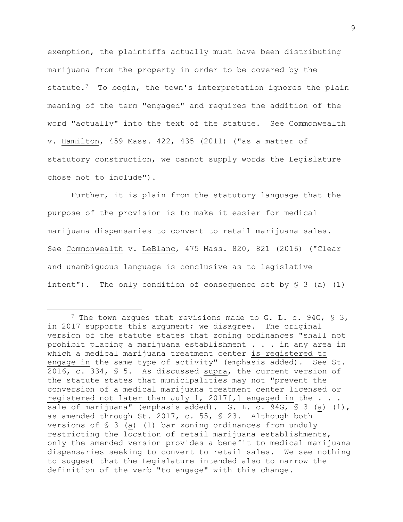exemption, the plaintiffs actually must have been distributing marijuana from the property in order to be covered by the statute.<sup>7</sup> To begin, the town's interpretation ignores the plain meaning of the term "engaged" and requires the addition of the word "actually" into the text of the statute. See Commonwealth v. Hamilton, 459 Mass. 422, 435 (2011) ("as a matter of statutory construction, we cannot supply words the Legislature chose not to include").

Further, it is plain from the statutory language that the purpose of the provision is to make it easier for medical marijuana dispensaries to convert to retail marijuana sales. See Commonwealth v. LeBlanc, 475 Mass. 820, 821 (2016) ("Clear and unambiguous language is conclusive as to legislative intent"). The only condition of consequence set by § 3 (a) (1)

<sup>&</sup>lt;sup>7</sup> The town argues that revisions made to G. L. c. 94G, § 3, in 2017 supports this argument; we disagree. The original version of the statute states that zoning ordinances "shall not prohibit placing a marijuana establishment . . . in any area in which a medical marijuana treatment center is registered to engage in the same type of activity" (emphasis added). See St. 2016, c. 334, § 5. As discussed supra, the current version of the statute states that municipalities may not "prevent the conversion of a medical marijuana treatment center licensed or registered not later than July 1, 2017[,] engaged in the . . . sale of marijuana" (emphasis added). G. L. c. 94G, § 3 (a) (1), as amended through St. 2017, c. 55, § 23. Although both versions of  $\S$  3 (a) (1) bar zoning ordinances from unduly restricting the location of retail marijuana establishments, only the amended version provides a benefit to medical marijuana dispensaries seeking to convert to retail sales. We see nothing to suggest that the Legislature intended also to narrow the definition of the verb "to engage" with this change.